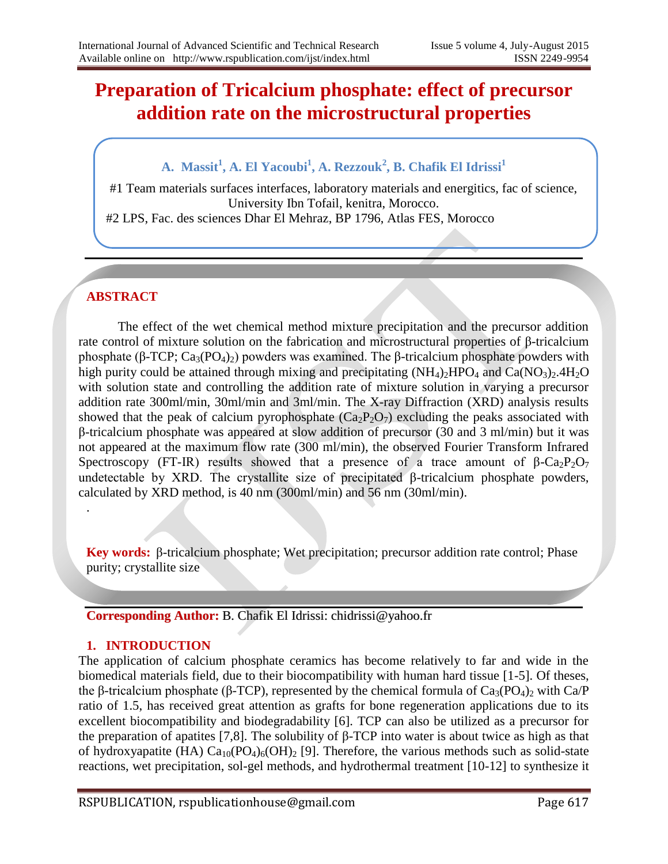# **Preparation of Tricalcium phosphate: effect of precursor addition rate on the microstructural properties**

# **A. Massit<sup>1</sup> , A. El Yacoubi<sup>1</sup> , A. Rezzouk<sup>2</sup> , B. Chafik El Idrissi<sup>1</sup>**

#1 Team materials surfaces interfaces, laboratory materials and energitics, fac of science, University Ibn Tofail, kenitra, Morocco. #2 LPS, Fac. des sciences Dhar El Mehraz, BP 1796, Atlas FES, Morocco

# **ABSTRACT**

.

The effect of the wet chemical method mixture precipitation and the precursor addition rate control of mixture solution on the fabrication and microstructural properties of β-tricalcium phosphate (β-TCP;  $Ca_3(PO_4)_2$ ) powders was examined. The β-tricalcium phosphate powders with high purity could be attained through mixing and precipitating  $(NH_4)_2HPO_4$  and  $Ca(NO_3)_2.4H_2O$ with solution state and controlling the addition rate of mixture solution in varying a precursor addition rate 300ml/min, 30ml/min and 3ml/min. The X-ray Diffraction (XRD) analysis results showed that the peak of calcium pyrophosphate  $(Ca_2P_2O_7)$  excluding the peaks associated with β-tricalcium phosphate was appeared at slow addition of precursor (30 and 3 ml/min) but it was not appeared at the maximum flow rate (300 ml/min), the observed Fourier Transform Infrared Spectroscopy (FT-IR) results showed that a presence of a trace amount of  $\beta$ -Ca<sub>2</sub>P<sub>2</sub>O<sub>7</sub> undetectable by XRD. The crystallite size of precipitated β-tricalcium phosphate powders, calculated by XRD method, is 40 nm (300ml/min) and 56 nm (30ml/min).

**Key words:** β-tricalcium phosphate; Wet precipitation; precursor addition rate control; Phase purity; crystallite size

**Corresponding Author:** B. Chafik El Idrissi: chidrissi@yahoo.fr

## **1. INTRODUCTION**

The application of calcium phosphate ceramics has become relatively to far and wide in the biomedical materials field, due to their biocompatibility with human hard tissue [1-5]. Of theses, the β-tricalcium phosphate (β-TCP), represented by the chemical formula of  $Ca<sub>3</sub>(PO<sub>4</sub>)<sub>2</sub>$  with Ca/P ratio of 1.5, has received great attention as grafts for bone regeneration applications due to its excellent biocompatibility and biodegradability [6]. TCP can also be utilized as a precursor for the preparation of apatites [7,8]. The solubility of β-TCP into water is about twice as high as that of hydroxyapatite (HA)  $Ca_{10}(PO_4)_6(OH)_2$  [9]. Therefore, the various methods such as solid-state reactions, wet precipitation, sol-gel methods, and hydrothermal treatment [10-12] to synthesize it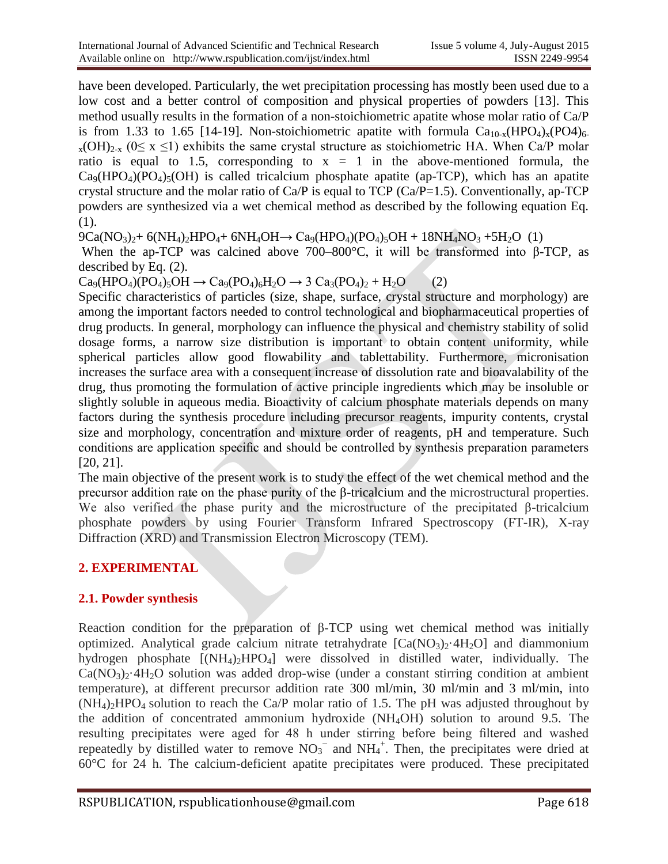have been developed. Particularly, the wet precipitation processing has mostly been used due to a low cost and a better control of composition and physical properties of powders [13]. This method usually results in the formation of a non-stoichiometric apatite whose molar ratio of Ca/P is from 1.33 to 1.65 [14-19]. Non-stoichiometric apatite with formula  $Ca<sub>10-x</sub>(HPO<sub>4</sub>)<sub>x</sub>(PO<sub>4</sub>)<sub>6</sub>$  $_{x}$ (OH)<sub>2-x</sub> (0 $\leq$  x  $\leq$ 1) exhibits the same crystal structure as stoichiometric HA. When Ca/P molar ratio is equal to 1.5, corresponding to  $x = 1$  in the above-mentioned formula, the  $Ca_9(HPO_4)(PO_4)_5(OH)$  is called tricalcium phosphate apatite (ap-TCP), which has an apatite crystal structure and the molar ratio of Ca/P is equal to TCP (Ca/P=1.5). Conventionally, ap-TCP powders are synthesized via a wet chemical method as described by the following equation Eq. (1).

 $9Ca(NO_3)_2+6(NH_4)_2HPO_4+6NH_4OH \rightarrow Ca_9(HPO_4)(PO_4)_5OH + 18NH_4NO_3 + 5H_2O$  (1)

When the ap-TCP was calcined above 700–800°C, it will be transformed into β-TCP, as described by Eq. (2).

 $Ca_9(HPO_4)(PO_4)_5OH \rightarrow Ca_9(PO_4)_6H_2O \rightarrow 3 Ca_3(PO_4)_2 + H_2O$  (2)

Specific characteristics of particles (size, shape, surface, crystal structure and morphology) are among the important factors needed to control technological and biopharmaceutical properties of drug products. In general, morphology can influence the physical and chemistry stability of solid dosage forms, a narrow size distribution is important to obtain content uniformity, while spherical particles allow good flowability and tablettability. Furthermore, micronisation increases the surface area with a consequent increase of dissolution rate and bioavalability of the drug, thus promoting the formulation of active principle ingredients which may be insoluble or slightly soluble in aqueous media. Bioactivity of calcium phosphate materials depends on many factors during the synthesis procedure including precursor reagents, impurity contents, crystal size and morphology, concentration and mixture order of reagents, pH and temperature. Such conditions are application specific and should be controlled by synthesis preparation parameters [20, 21].

The main objective of the present work is to study the effect of the wet chemical method and the precursor addition rate on the phase purity of the β-tricalcium and the microstructural properties. We also verified the phase purity and the microstructure of the precipitated β-tricalcium phosphate powders by using Fourier Transform Infrared Spectroscopy (FT-IR), X-ray Diffraction (XRD) and Transmission Electron Microscopy (TEM).

## **2. EXPERIMENTAL**

#### **2.1. Powder synthesis**

Reaction condition for the preparation of β-TCP using wet chemical method was initially optimized. Analytical grade calcium nitrate tetrahydrate  $[Ca(NO<sub>3</sub>)<sub>2</sub>·4H<sub>2</sub>O]$  and diammonium hydrogen phosphate  $[(NH_4)_2HPO_4]$  were dissolved in distilled water, individually. The  $Ca(NO<sub>3</sub>)<sub>2</sub>·4H<sub>2</sub>O$  solution was added drop-wise (under a constant stirring condition at ambient temperature), at different precursor addition rate 300 ml/min, 30 ml/min and 3 ml/min, into  $(NH_4)$ <sub>2</sub>HPO<sub>4</sub> solution to reach the Ca/P molar ratio of 1.5. The pH was adjusted throughout by the addition of concentrated ammonium hydroxide (NH4OH) solution to around 9.5. The resulting precipitates were aged for 48 h under stirring before being filtered and washed repeatedly by distilled water to remove  $NO<sub>3</sub><sup>-</sup>$  and  $NH<sub>4</sub><sup>+</sup>$ . Then, the precipitates were dried at 60°C for 24 h. The calcium-deficient apatite precipitates were produced. These precipitated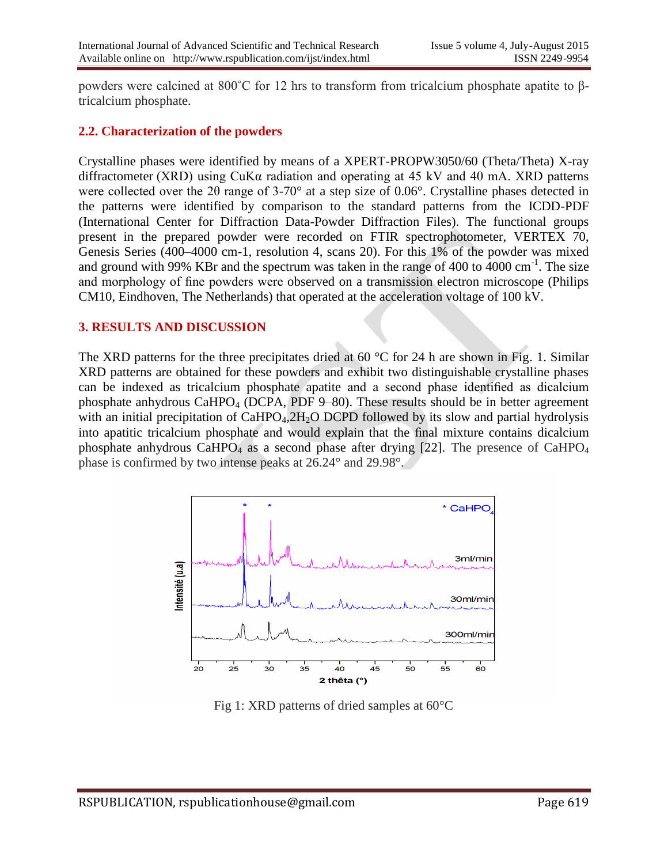powders were calcined at 800˚C for 12 hrs to transform from tricalcium phosphate apatite to βtricalcium phosphate.

#### **2.2. Characterization of the powders**

Crystalline phases were identified by means of a XPERT-PROPW3050/60 (Theta/Theta) X-ray diffractometer (XRD) using CuKα radiation and operating at 45 kV and 40 mA. XRD patterns were collected over the 2θ range of 3-70° at a step size of 0.06°. Crystalline phases detected in the patterns were identified by comparison to the standard patterns from the ICDD-PDF (International Center for Diffraction Data-Powder Diffraction Files). The functional groups present in the prepared powder were recorded on FTIR spectrophotometer, VERTEX 70, Genesis Series (400–4000 cm-1, resolution 4, scans 20). For this 1% of the powder was mixed and ground with 99% KBr and the spectrum was taken in the range of 400 to  $4000 \text{ cm}^{-1}$ . The size and morphology of fine powders were observed on a transmission electron microscope (Philips CM10, Eindhoven, The Netherlands) that operated at the acceleration voltage of 100 kV.

#### **3. RESULTS AND DISCUSSION**

The XRD patterns for the three precipitates dried at  $60^{\circ}$ C for 24 h are shown in Fig. 1. Similar XRD patterns are obtained for these powders and exhibit two distinguishable crystalline phases can be indexed as tricalcium phosphate apatite and a second phase identified as dicalcium phosphate anhydrous CaHPO<sup>4</sup> (DCPA, PDF 9–80). These results should be in better agreement with an initial precipitation of  $CaHPO<sub>4</sub>, 2H<sub>2</sub>O DCPD$  followed by its slow and partial hydrolysis into apatitic tricalcium phosphate and would explain that the final mixture contains dicalcium phosphate anhydrous CaHPO<sub>4</sub> as a second phase after drying  $[22]$ . The presence of CaHPO<sub>4</sub> phase is confirmed by two intense peaks at 26.24° and 29.98°.



Fig 1: XRD patterns of dried samples at 60°C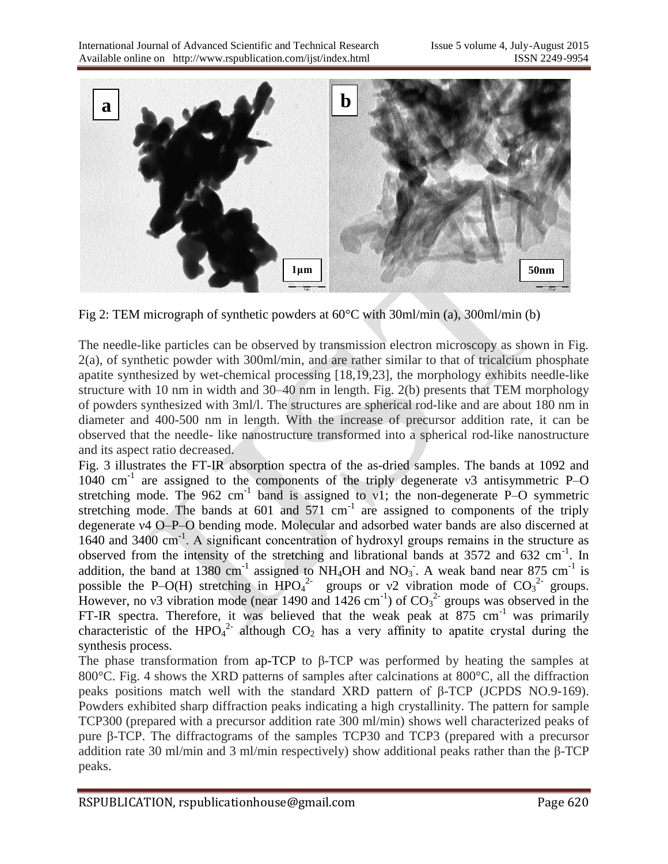

Fig 2: TEM micrograph of synthetic powders at 60°C with 30ml/min (a), 300ml/min (b)

The needle-like particles can be observed by transmission electron microscopy as shown in Fig. 2(a), of synthetic powder with 300ml/min, and are rather similar to that of tricalcium phosphate apatite synthesized by wet-chemical processing [18,19,23], the morphology exhibits needle-like structure with 10 nm in width and 30–40 nm in length. Fig. 2(b) presents that TEM morphology of powders synthesized with 3ml/l. The structures are spherical rod-like and are about 180 nm in diameter and 400-500 nm in length. With the increase of precursor addition rate, it can be observed that the needle- like nanostructure transformed into a spherical rod-like nanostructure and its aspect ratio decreased.

Fig. 3 illustrates the FT-IR absorption spectra of the as-dried samples. The bands at 1092 and 1040 cm-1 are assigned to the components of the triply degenerate ν3 antisymmetric P–O stretching mode. The 962 cm<sup>-1</sup> band is assigned to v1; the non-degenerate P-O symmetric stretching mode. The bands at  $601$  and  $571$  cm<sup>-1</sup> are assigned to components of the triply degenerate ν4 O–P–O bending mode. Molecular and adsorbed water bands are also discerned at 1640 and 3400 cm<sup>-1</sup>. A significant concentration of hydroxyl groups remains in the structure as observed from the intensity of the stretching and librational bands at  $3572$  and  $632 \text{ cm}^{-1}$ . In addition, the band at 1380 cm<sup>-1</sup> assigned to NH<sub>4</sub>OH and NO<sub>3</sub>. A weak band near 875 cm<sup>-1</sup> is possible the P–O(H) stretching in  $HPO<sub>4</sub><sup>2</sup>$  groups or v2 vibration mode of  $CO<sub>3</sub><sup>2</sup>$  groups. However, no v3 vibration mode (near 1490 and  $1426 \text{ cm}^{-1}$ ) of  $\text{CO}_3^2$  groups was observed in the FT-IR spectra. Therefore, it was believed that the weak peak at  $875 \text{ cm}^{-1}$  was primarily characteristic of the HPO<sub>4</sub><sup>2</sup> although  $CO_2$  has a very affinity to apatite crystal during the synthesis process.

The phase transformation from ap-TCP to β-TCP was performed by heating the samples at 800 °C. Fig. 4 shows the XRD patterns of samples after calcinations at 800 °C, all the diffraction peaks positions match well with the standard XRD pattern of β-TCP (JCPDS NO.9-169). Powders exhibited sharp diffraction peaks indicating a high crystallinity. The pattern for sample TCP300 (prepared with a precursor addition rate 300 ml/min) shows well characterized peaks of pure β-TCP. The diffractograms of the samples TCP30 and TCP3 (prepared with a precursor addition rate 30 ml/min and 3 ml/min respectively) show additional peaks rather than the β-TCP peaks.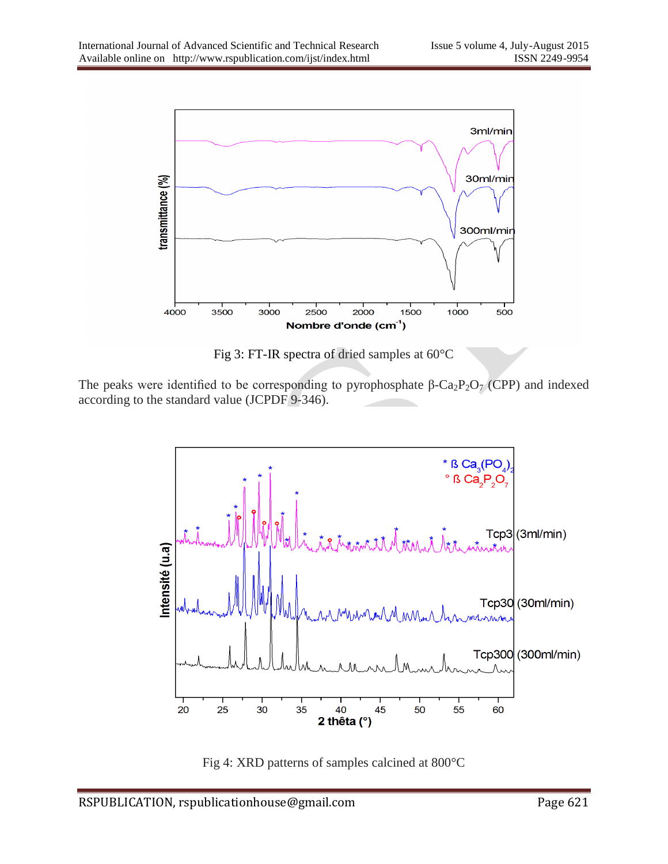

Fig 3: FT-IR spectra of dried samples at 60°C

The peaks were identified to be corresponding to pyrophosphate  $\beta$ -Ca<sub>2</sub>P<sub>2</sub>O<sub>7</sub> (CPP) and indexed according to the standard value (JCPDF 9-346).



Fig 4: XRD patterns of samples calcined at 800°C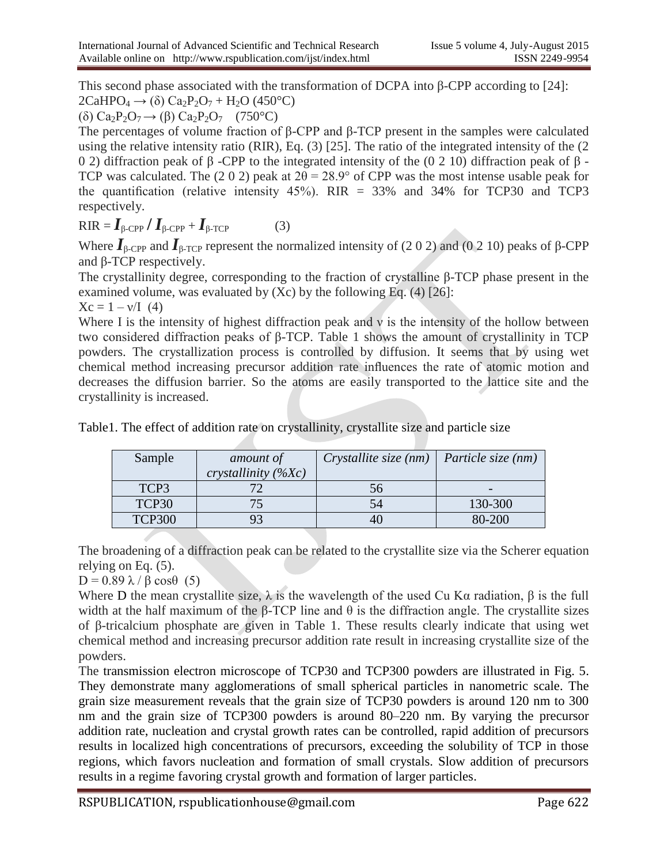This second phase associated with the transformation of DCPA into β-CPP according to [24]:  $2CaHPO<sub>4</sub> \rightarrow (\delta) Ca<sub>2</sub>P<sub>2</sub>O<sub>7</sub> + H<sub>2</sub>O (450°C)$ 

(δ) Ca<sub>2</sub>P<sub>2</sub>O<sub>7</sub>  $\rightarrow$  (β) Ca<sub>2</sub>P<sub>2</sub>O<sub>7</sub> (750<sup>o</sup>C)

The percentages of volume fraction of β-CPP and β-TCP present in the samples were calculated using the relative intensity ratio (RIR), Eq. (3) [25]. The ratio of the integrated intensity of the (2 0 2) diffraction peak of β -CPP to the integrated intensity of the (0 2 10) diffraction peak of β - TCP was calculated. The (2 0 2) peak at  $2\theta = 28.9^{\circ}$  of CPP was the most intense usable peak for the quantification (relative intensity 45%). RIR = 33% and 34% for TCP30 and TCP3 respectively.

 $RIR = I_{\beta\text{-CPP}}/I_{\beta\text{-CPP}} + I_{\beta\text{-TCP}}$  (3)

Where  $I_{\beta\text{-CPP}}$  and  $I_{\beta\text{-TCP}}$  represent the normalized intensity of (2 0 2) and (0 2 10) peaks of  $\beta\text{-CPP}$ and β-TCP respectively.

The crystallinity degree, corresponding to the fraction of crystalline β-TCP phase present in the examined volume, was evaluated by  $(Xc)$  by the following Eq. (4) [26]:

 $Xc = 1 - v/I$  (4)

Where I is the intensity of highest diffraction peak and  $\nu$  is the intensity of the hollow between two considered diffraction peaks of β-TCP. Table 1 shows the amount of crystallinity in TCP powders. The crystallization process is controlled by diffusion. It seems that by using wet chemical method increasing precursor addition rate influences the rate of atomic motion and decreases the diffusion barrier. So the atoms are easily transported to the lattice site and the crystallinity is increased.

| Sample        | amount of              | Crystallite size $(nm)$   Particle size $(nm)$ |         |
|---------------|------------------------|------------------------------------------------|---------|
|               | crystallinity $(\%Xc)$ |                                                |         |
| TCP3          |                        | 56                                             |         |
| TCP30         |                        | 54                                             | 130-300 |
| <b>TCP300</b> |                        | 40                                             | 80-200  |

Table1. The effect of addition rate on crystallinity, crystallite size and particle size

The broadening of a diffraction peak can be related to the crystallite size via the Scherer equation relying on Eq. (5).

 $D = 0.89 \lambda / \beta \cos\theta$  (5)

Where D the mean crystallite size,  $\lambda$  is the wavelength of the used Cu K $\alpha$  radiation,  $\beta$  is the full width at the half maximum of the β-TCP line and  $θ$  is the diffraction angle. The crystallite sizes of β-tricalcium phosphate are given in Table 1. These results clearly indicate that using wet chemical method and increasing precursor addition rate result in increasing crystallite size of the powders.

The transmission electron microscope of TCP30 and TCP300 powders are illustrated in Fig. 5. They demonstrate many agglomerations of small spherical particles in nanometric scale. The grain size measurement reveals that the grain size of TCP30 powders is around 120 nm to 300 nm and the grain size of TCP300 powders is around 80–220 nm. By varying the precursor addition rate, nucleation and crystal growth rates can be controlled, rapid addition of precursors results in localized high concentrations of precursors, exceeding the solubility of TCP in those regions, which favors nucleation and formation of small crystals. Slow addition of precursors results in a regime favoring crystal growth and formation of larger particles.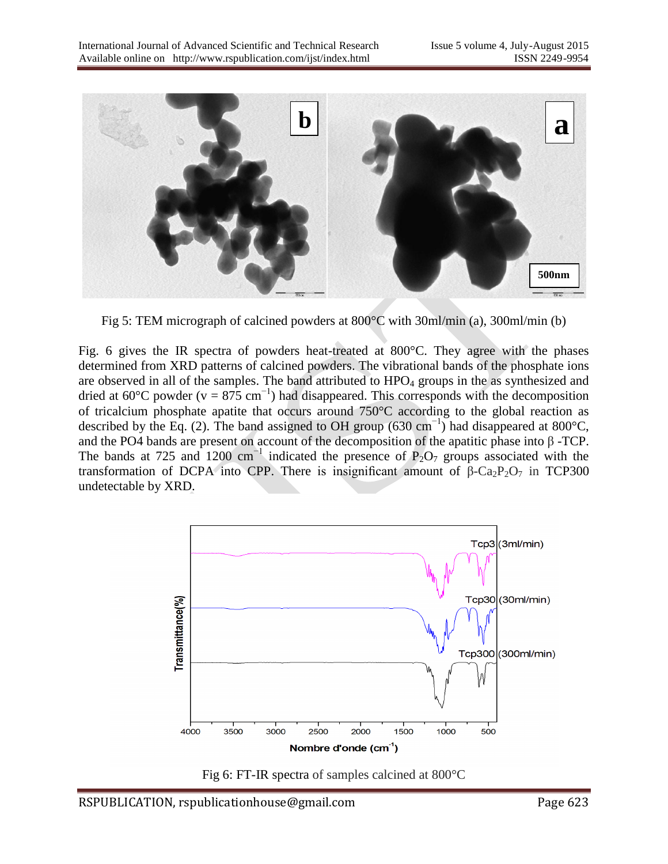

Fig 5: TEM micrograph of calcined powders at 800°C with 30ml/min (a), 300ml/min (b)

Fig. 6 gives the IR spectra of powders heat-treated at 800°C. They agree with the phases determined from XRD patterns of calcined powders. The vibrational bands of the phosphate ions are observed in all of the samples. The band attributed to  $HPO<sub>4</sub>$  groups in the as synthesized and dried at 60°C powder (v = 875 cm<sup>-1</sup>) had disappeared. This corresponds with the decomposition of tricalcium phosphate apatite that occurs around 750°C according to the global reaction as described by the Eq. (2). The band assigned to OH group (630 cm−1) had disappeared at 800°C, and the PO4 bands are present on account of the decomposition of the apatitic phase into  $\beta$  -TCP. The bands at 725 and 1200 cm<sup>-1</sup> indicated the presence of P<sub>2</sub>O<sub>7</sub> groups associated with the transformation of DCPA into CPP. There is insignificant amount of  $β$ -Ca<sub>2</sub>P<sub>2</sub>O<sub>7</sub> in TCP300 undetectable by XRD.



Fig 6: FT-IR spectra of samples calcined at 800°C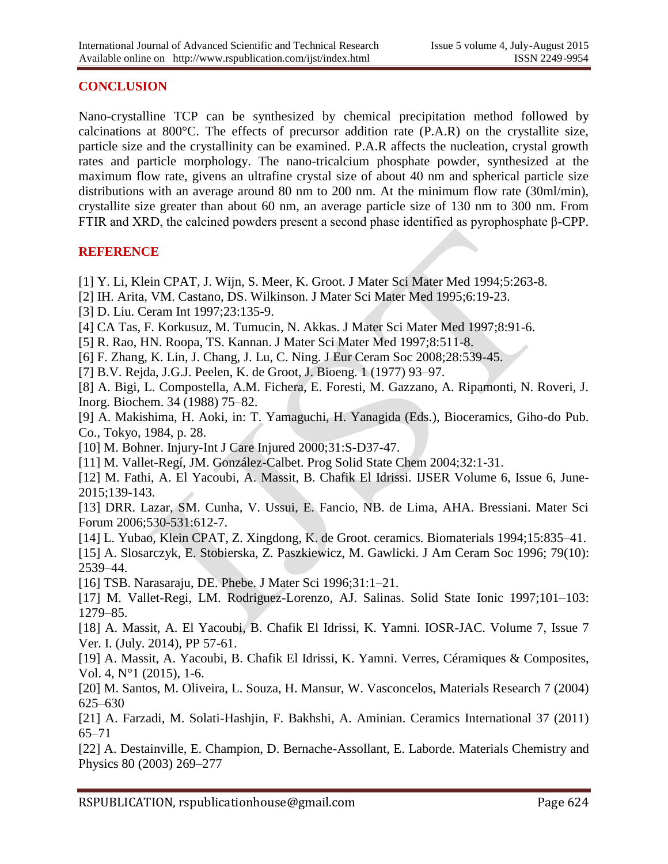#### **CONCLUSION**

Nano-crystalline TCP can be synthesized by chemical precipitation method followed by calcinations at 800°C. The effects of precursor addition rate (P.A.R) on the crystallite size, particle size and the crystallinity can be examined. P.A.R affects the nucleation, crystal growth rates and particle morphology. The nano-tricalcium phosphate powder, synthesized at the maximum flow rate, givens an ultrafine crystal size of about 40 nm and spherical particle size distributions with an average around 80 nm to 200 nm. At the minimum flow rate (30ml/min), crystallite size greater than about 60 nm, an average particle size of 130 nm to 300 nm. From FTIR and XRD, the calcined powders present a second phase identified as pyrophosphate β-CPP.

### **REFERENCE**

- [1] Y. Li, Klein CPAT, J. Wijn, S. Meer, K. Groot. J Mater Sci Mater Med 1994;5:263-8.
- [2] IH. Arita, VM. Castano, DS. Wilkinson. J Mater Sci Mater Med 1995;6:19-23.
- [3] D. Liu. Ceram Int 1997;23:135-9.
- [4] CA Tas, F. Korkusuz, M. Tumucin, N. Akkas. J Mater Sci Mater Med 1997;8:91-6.
- [5] R. Rao, HN. Roopa, TS. Kannan. J Mater Sci Mater Med 1997;8:511-8.
- [6] F. Zhang, K. Lin, J. Chang, J. Lu, C. Ning. J Eur Ceram Soc 2008;28:539-45.
- [7] B.V. Rejda, J.G.J. Peelen, K. de Groot, J. Bioeng. 1 (1977) 93–97.

[8] A. Bigi, L. Compostella, A.M. Fichera, E. Foresti, M. Gazzano, A. Ripamonti, N. Roveri, J. Inorg. Biochem. 34 (1988) 75–82.

[9] A. Makishima, H. Aoki, in: T. Yamaguchi, H. Yanagida (Eds.), Bioceramics, Giho-do Pub. Co., Tokyo, 1984, p. 28.

[10] M. Bohner. Injury-Int J Care Injured 2000;31:S-D37-47.

- [11] M. Vallet-Regí, JM. González-Calbet. Prog Solid State Chem 2004;32:1-31.
- [12] M. Fathi, A. El Yacoubi, A. Massit, B. Chafik El Idrissi. IJSER Volume 6, Issue 6, June-2015;139-143.

[13] DRR. Lazar, SM. Cunha, V. Ussui, E. Fancio, NB. de Lima, AHA. Bressiani. Mater Sci Forum 2006;530-531:612-7.

[14] L. Yubao, Klein CPAT, Z. Xingdong, K. de Groot. ceramics. Biomaterials 1994;15:835–41.

[15] A. Slosarczyk, E. Stobierska, Z. Paszkiewicz, M. Gawlicki. J Am Ceram Soc 1996; 79(10): 2539–44.

[16] TSB. Narasaraju, DE. Phebe. J Mater Sci 1996;31:1–21.

[17] M. Vallet-Regi, LM. Rodriguez-Lorenzo, AJ. Salinas. Solid State Ionic 1997;101–103: 1279–85.

[18] A. Massit, A. El Yacoubi, B. Chafik El Idrissi, K. Yamni. IOSR-JAC. Volume 7, Issue 7 Ver. I. (July. 2014), PP 57-61.

[19] A. Massit, A. Yacoubi, B. Chafik El Idrissi, K. Yamni. Verres, Céramiques & Composites, Vol. 4, N°1 (2015), 1-6.

[20] M. Santos, M. Oliveira, L. Souza, H. Mansur, W. Vasconcelos, Materials Research 7 (2004) 625–630

[21] A. Farzadi, M. Solati-Hashjin, F. Bakhshi, A. Aminian. Ceramics International 37 (2011) 65–71

[22] A. Destainville, E. Champion, D. Bernache-Assollant, E. Laborde. Materials Chemistry and Physics 80 (2003) 269–277